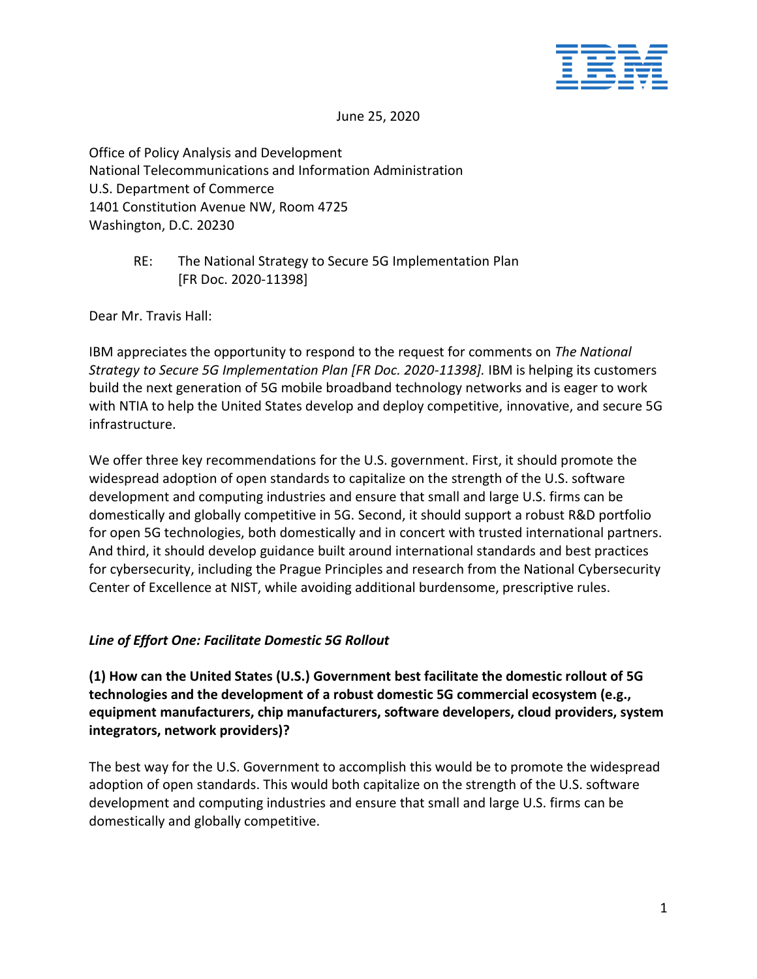

June 25, 2020

Office of Policy Analysis and Development National Telecommunications and Information Administration U.S. Department of Commerce 1401 Constitution Avenue NW, Room 4725 Washington, D.C. 20230

> RE: The National Strategy to Secure 5G Implementation Plan [FR Doc. 2020-11398]

Dear Mr. Travis Hall:

IBM appreciates the opportunity to respond to the request for comments on *The National Strategy to Secure 5G Implementation Plan [FR Doc. 2020-11398].* IBM is helping its customers build the next generation of 5G mobile broadband technology networks and is eager to work with NTIA to help the United States develop and deploy competitive, innovative, and secure 5G infrastructure.

We offer three key recommendations for the U.S. government. First, it should promote the widespread adoption of open standards to capitalize on the strength of the U.S. software development and computing industries and ensure that small and large U.S. firms can be domestically and globally competitive in 5G. Second, it should support a robust R&D portfolio for open 5G technologies, both domestically and in concert with trusted international partners. And third, it should develop guidance built around international standards and best practices for cybersecurity, including the Prague Principles and research from the National Cybersecurity Center of Excellence at NIST, while avoiding additional burdensome, prescriptive rules.

### *Line of Effort One: Facilitate Domestic 5G Rollout*

**(1) How can the United States (U.S.) Government best facilitate the domestic rollout of 5G technologies and the development of a robust domestic 5G commercial ecosystem (e.g., equipment manufacturers, chip manufacturers, software developers, cloud providers, system integrators, network providers)?**

The best way for the U.S. Government to accomplish this would be to promote the widespread adoption of open standards. This would both capitalize on the strength of the U.S. software development and computing industries and ensure that small and large U.S. firms can be domestically and globally competitive.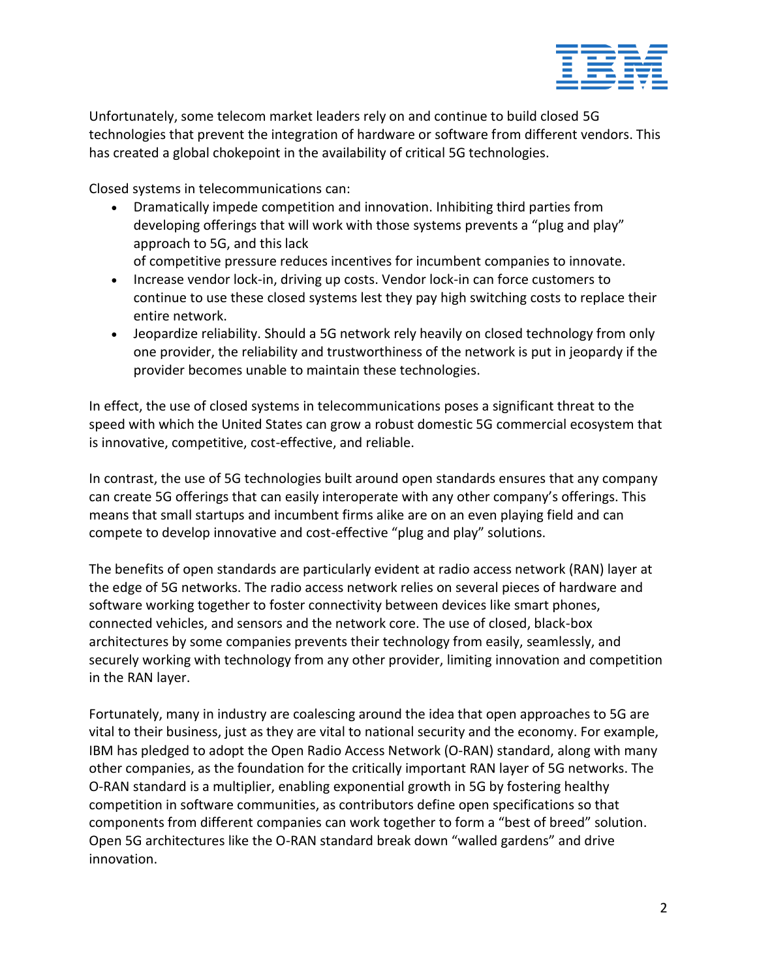

Unfortunately, some telecom market leaders rely on and continue to build closed 5G technologies that prevent the integration of hardware or software from different vendors. This has created a global chokepoint in the availability of critical 5G technologies.

Closed systems in telecommunications can:

• Dramatically impede competition and innovation. Inhibiting third parties from developing offerings that will work with those systems prevents a "plug and play" approach to 5G, and this lack

of competitive pressure reduces incentives for incumbent companies to innovate.

- Increase vendor lock-in, driving up costs. Vendor lock-in can force customers to continue to use these closed systems lest they pay high switching costs to replace their entire network.
- Jeopardize reliability. Should a 5G network rely heavily on closed technology from only one provider, the reliability and trustworthiness of the network is put in jeopardy if the provider becomes unable to maintain these technologies.

In effect, the use of closed systems in telecommunications poses a significant threat to the speed with which the United States can grow a robust domestic 5G commercial ecosystem that is innovative, competitive, cost-effective, and reliable.

In contrast, the use of 5G technologies built around open standards ensures that any company can create 5G offerings that can easily interoperate with any other company's offerings. This means that small startups and incumbent firms alike are on an even playing field and can compete to develop innovative and cost-effective "plug and play" solutions.

The benefits of open standards are particularly evident at radio access network (RAN) layer at the edge of 5G networks. The radio access network relies on several pieces of hardware and software working together to foster connectivity between devices like smart phones, connected vehicles, and sensors and the network core. The use of closed, black-box architectures by some companies prevents their technology from easily, seamlessly, and securely working with technology from any other provider, limiting innovation and competition in the RAN layer.

Fortunately, many in industry are coalescing around the idea that open approaches to 5G are vital to their business, just as they are vital to national security and the economy. For example, IBM has pledged to adopt the Open Radio Access Network (O-RAN) standard, along with many other companies, as the foundation for the critically important RAN layer of 5G networks. The O-RAN standard is a multiplier, enabling exponential growth in 5G by fostering healthy competition in software communities, as contributors define open specifications so that components from different companies can work together to form a "best of breed" solution. Open 5G architectures like the O-RAN standard break down "walled gardens" and drive innovation.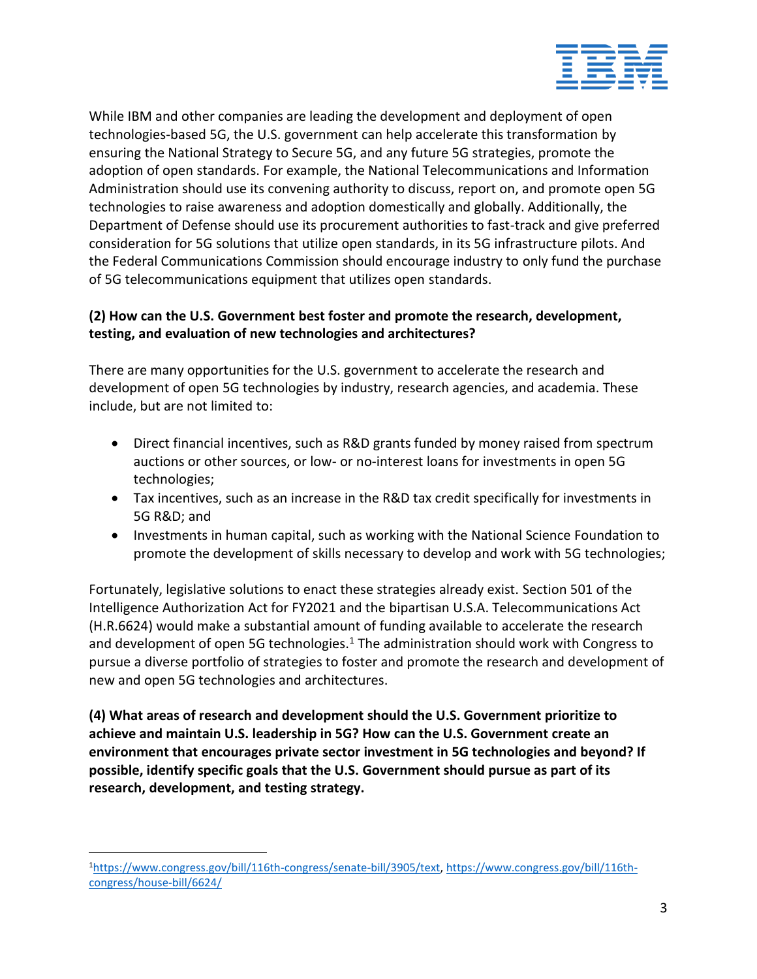

While IBM and other companies are leading the development and deployment of open technologies-based 5G, the U.S. government can help accelerate this transformation by ensuring the National Strategy to Secure 5G, and any future 5G strategies, promote the adoption of open standards. For example, the National Telecommunications and Information Administration should use its convening authority to discuss, report on, and promote open 5G technologies to raise awareness and adoption domestically and globally. Additionally, the Department of Defense should use its procurement authorities to fast-track and give preferred consideration for 5G solutions that utilize open standards, in its 5G infrastructure pilots. And the Federal Communications Commission should encourage industry to only fund the purchase of 5G telecommunications equipment that utilizes open standards.

### **(2) How can the U.S. Government best foster and promote the research, development, testing, and evaluation of new technologies and architectures?**

There are many opportunities for the U.S. government to accelerate the research and development of open 5G technologies by industry, research agencies, and academia. These include, but are not limited to:

- Direct financial incentives, such as R&D grants funded by money raised from spectrum auctions or other sources, or low- or no-interest loans for investments in open 5G technologies;
- Tax incentives, such as an increase in the R&D tax credit specifically for investments in 5G R&D; and
- Investments in human capital, such as working with the National Science Foundation to promote the development of skills necessary to develop and work with 5G technologies;

Fortunately, legislative solutions to enact these strategies already exist. Section 501 of the Intelligence Authorization Act for FY2021 and the bipartisan U.S.A. Telecommunications Act (H.R.6624) would make a substantial amount of funding available to accelerate the research and development of open 5G technologies. $1$  The administration should work with Congress to pursue a diverse portfolio of strategies to foster and promote the research and development of new and open 5G technologies and architectures.

**(4) What areas of research and development should the U.S. Government prioritize to achieve and maintain U.S. leadership in 5G? How can the U.S. Government create an environment that encourages private sector investment in 5G technologies and beyond? If possible, identify specific goals that the U.S. Government should pursue as part of its research, development, and testing strategy.**

<sup>1</sup>[https://www.congress.gov/bill/116th-congress/senate-bill/3905/text,](https://www.congress.gov/bill/116th-congress/senate-bill/3905/text) [https://www.congress.gov/bill/116th](https://www.congress.gov/bill/116th-congress/house-bill/6624/)[congress/house-bill/6624/](https://www.congress.gov/bill/116th-congress/house-bill/6624/)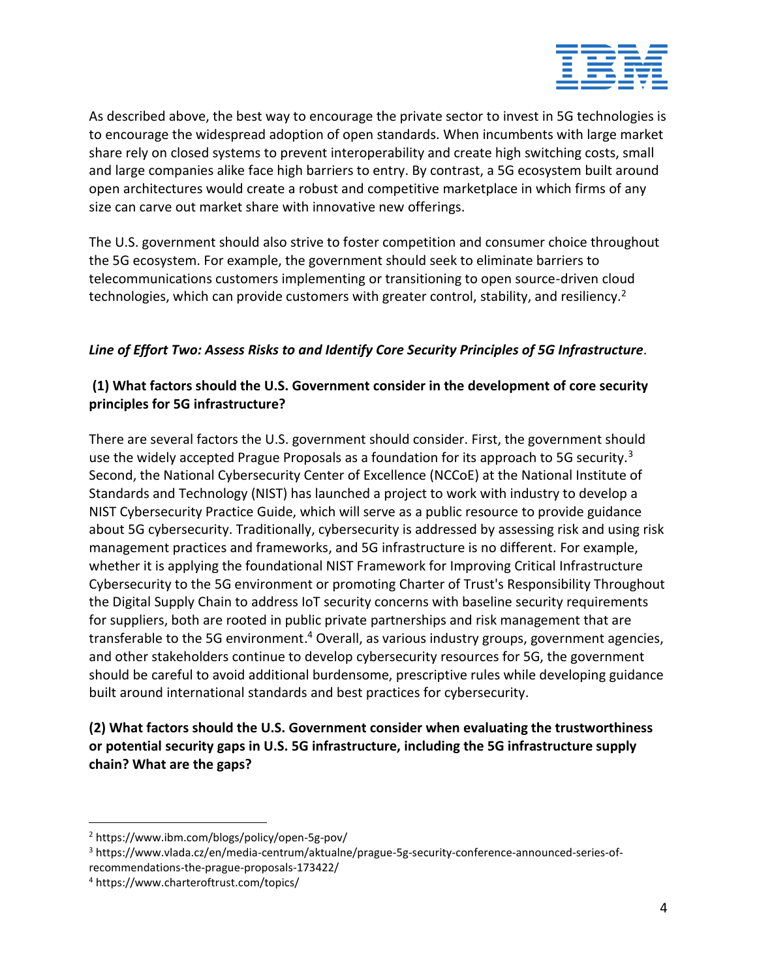

As described above, the best way to encourage the private sector to invest in 5G technologies is to encourage the widespread adoption of open standards. When incumbents with large market share rely on closed systems to prevent interoperability and create high switching costs, small and large companies alike face high barriers to entry. By contrast, a 5G ecosystem built around open architectures would create a robust and competitive marketplace in which firms of any size can carve out market share with innovative new offerings.

The U.S. government should also strive to foster competition and consumer choice throughout the 5G ecosystem. For example, the government should seek to eliminate barriers to telecommunications customers implementing or transitioning to open source-driven cloud technologies, which can provide customers with greater control, stability, and resiliency.<sup>2</sup>

# *Line of Effort Two: Assess Risks to and Identify Core Security Principles of 5G Infrastructure.*

## **(1) What factors should the U.S. Government consider in the development of core security principles for 5G infrastructure?**

There are several factors the U.S. government should consider. First, the government should use the widely accepted Prague Proposals as a foundation for its approach to 5G security.<sup>3</sup> Second, the National Cybersecurity Center of Excellence (NCCoE) at the National Institute of Standards and Technology (NIST) has launched a project to work with industry to develop a NIST Cybersecurity Practice Guide, which will serve as a public resource to provide guidance about 5G cybersecurity. Traditionally, cybersecurity is addressed by assessing risk and using risk management practices and frameworks, and 5G infrastructure is no different. For example, whether it is applying the foundational NIST Framework for Improving Critical Infrastructure Cybersecurity to the 5G environment or promoting Charter of Trust's Responsibility Throughout the Digital Supply Chain to address IoT security concerns with baseline security requirements for suppliers, both are rooted in public private partnerships and risk management that are transferable to the 5G environment.<sup>4</sup> Overall, as various industry groups, government agencies, and other stakeholders continue to develop cybersecurity resources for 5G, the government should be careful to avoid additional burdensome, prescriptive rules while developing guidance built around international standards and best practices for cybersecurity.

# **(2) What factors should the U.S. Government consider when evaluating the trustworthiness or potential security gaps in U.S. 5G infrastructure, including the 5G infrastructure supply chain? What are the gaps?**

<sup>2</sup> https://www.ibm.com/blogs/policy/open-5g-pov/

<sup>3</sup> https://www.vlada.cz/en/media-centrum/aktualne/prague-5g-security-conference-announced-series-ofrecommendations-the-prague-proposals-173422/

<sup>4</sup> https://www.charteroftrust.com/topics/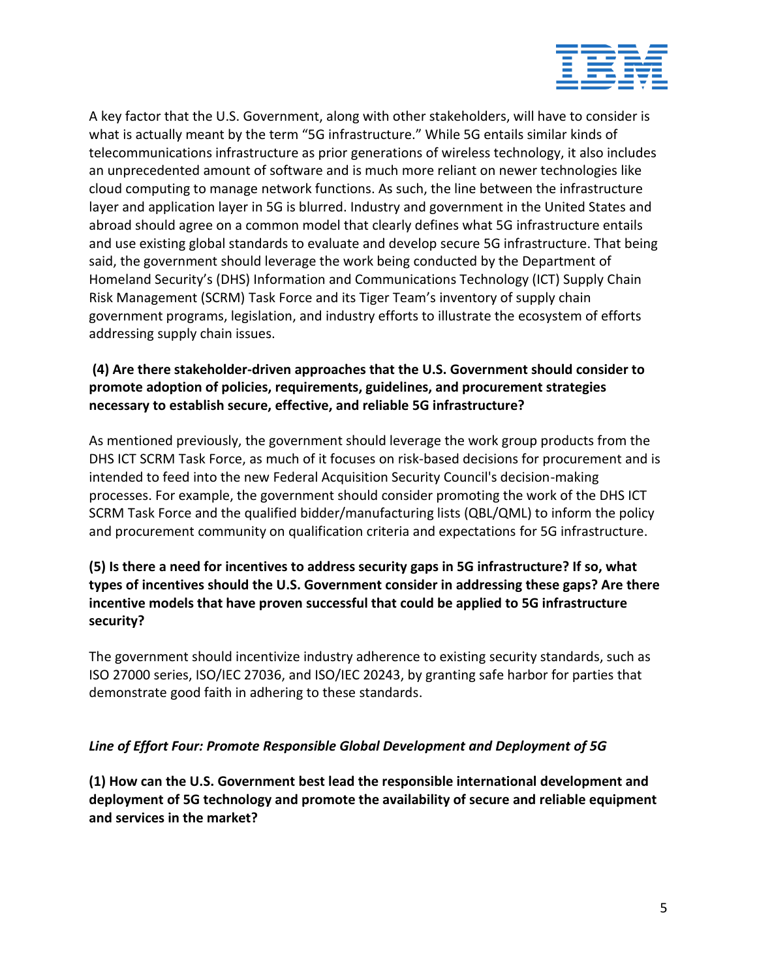

A key factor that the U.S. Government, along with other stakeholders, will have to consider is what is actually meant by the term "5G infrastructure." While 5G entails similar kinds of telecommunications infrastructure as prior generations of wireless technology, it also includes an unprecedented amount of software and is much more reliant on newer technologies like cloud computing to manage network functions. As such, the line between the infrastructure layer and application layer in 5G is blurred. Industry and government in the United States and abroad should agree on a common model that clearly defines what 5G infrastructure entails and use existing global standards to evaluate and develop secure 5G infrastructure. That being said, the government should leverage the work being conducted by the Department of Homeland Security's (DHS) Information and Communications Technology (ICT) Supply Chain Risk Management (SCRM) Task Force and its Tiger Team's inventory of supply chain government programs, legislation, and industry efforts to illustrate the ecosystem of efforts addressing supply chain issues.

# **(4) Are there stakeholder-driven approaches that the U.S. Government should consider to promote adoption of policies, requirements, guidelines, and procurement strategies necessary to establish secure, effective, and reliable 5G infrastructure?**

As mentioned previously, the government should leverage the work group products from the DHS ICT SCRM Task Force, as much of it focuses on risk-based decisions for procurement and is intended to feed into the new Federal Acquisition Security Council's decision-making processes. For example, the government should consider promoting the work of the DHS ICT SCRM Task Force and the qualified bidder/manufacturing lists (QBL/QML) to inform the policy and procurement community on qualification criteria and expectations for 5G infrastructure.

## **(5) Is there a need for incentives to address security gaps in 5G infrastructure? If so, what types of incentives should the U.S. Government consider in addressing these gaps? Are there incentive models that have proven successful that could be applied to 5G infrastructure security?**

The government should incentivize industry adherence to existing security standards, such as ISO 27000 series, ISO/IEC 27036, and ISO/IEC 20243, by granting safe harbor for parties that demonstrate good faith in adhering to these standards.

### *Line of Effort Four: Promote Responsible Global Development and Deployment of 5G*

**(1) How can the U.S. Government best lead the responsible international development and deployment of 5G technology and promote the availability of secure and reliable equipment and services in the market?**